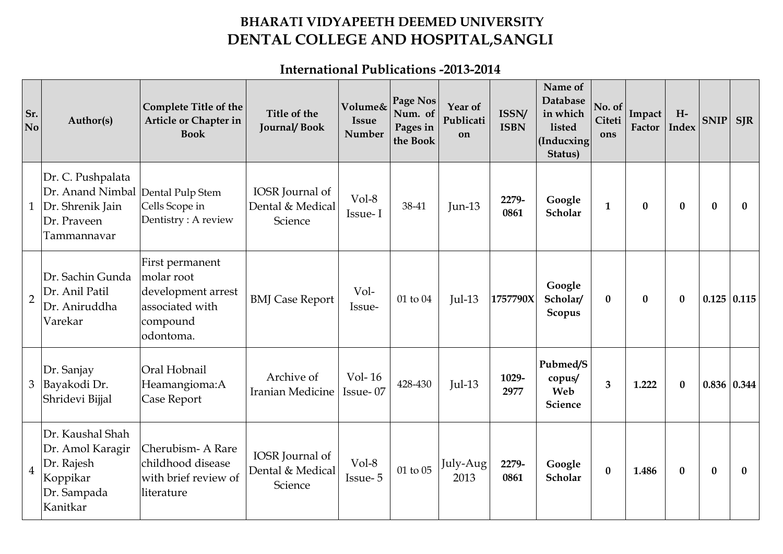## **BHARATI VIDYAPEETH DEEMED UNIVERSITY DENTAL COLLEGE AND HOSPITAL,SANGLI**

**International Publications -2013-2014**

| Sr.<br>N <sub>o</sub> | Author(s)                                                                                 | <b>Complete Title of the</b><br>Article or Chapter in<br><b>Book</b>                            | Title of the<br><b>Journal/Book</b>            | Volume&<br><b>Issue</b><br>Number | Page Nos<br>Num. of<br>Pages in<br>the Book | Year of<br>Publicati<br>on | ISSN/<br><b>ISBN</b> | Name of<br>Database<br>in which<br>listed<br>(Inducxing)<br>Status) | No. of<br>Citeti<br>ons | Impact<br>Factor | $H-$<br><b>Index</b> | SNIP             | <b>SJR</b>         |
|-----------------------|-------------------------------------------------------------------------------------------|-------------------------------------------------------------------------------------------------|------------------------------------------------|-----------------------------------|---------------------------------------------|----------------------------|----------------------|---------------------------------------------------------------------|-------------------------|------------------|----------------------|------------------|--------------------|
| $\mathbf{1}$          | Dr. C. Pushpalata<br>Dr. Anand Nimbal<br>Dr. Shrenik Jain<br>Dr. Praveen<br>Tammannavar   | Dental Pulp Stem<br>Cells Scope in<br>Dentistry: A review                                       | IOSR Journal of<br>Dental & Medical<br>Science | Vol-8<br>Issue-I                  | 38-41                                       | $Jun-13$                   | 2279-<br>0861        | Google<br>Scholar                                                   | $\mathbf{1}$            | $\bf{0}$         | $\bf{0}$             | $\bf{0}$         | $\bf{0}$           |
| $\overline{2}$        | Dr. Sachin Gunda<br>Dr. Anil Patil<br>Dr. Aniruddha<br>Varekar                            | First permanent<br>molar root<br>development arrest<br>associated with<br>compound<br>odontoma. | <b>BMJ</b> Case Report                         | Vol-<br>Issue-                    | 01 to 04                                    | $Jul-13$                   | 1757790X             | Google<br>Scholar/<br>Scopus                                        | $\bf{0}$                | $\bf{0}$         | $\mathbf{0}$         |                  | $0.125 \mid 0.115$ |
| 3                     | Dr. Sanjay<br>Bayakodi Dr.<br>Shridevi Bijjal                                             | Oral Hobnail<br>Heamangioma:A<br>Case Report                                                    | Archive of<br>Iranian Medicine                 | Vol-16<br>Issue-07                | 428-430                                     | $Jul-13$                   | 1029-<br>2977        | Pubmed/S<br>copus/<br>Web<br>Science                                | $\overline{\mathbf{3}}$ | 1.222            | $\bf{0}$             | 0.836   0.344    |                    |
| $\overline{4}$        | Dr. Kaushal Shah<br>Dr. Amol Karagir<br>Dr. Rajesh<br>Koppikar<br>Dr. Sampada<br>Kanitkar | Cherubism-A Rare<br>childhood disease<br>with brief review of<br>literature                     | IOSR Journal of<br>Dental & Medical<br>Science | $Vol-8$<br>Issue-5                | 01 to 05                                    | July-Aug<br>2013           | 2279-<br>0861        | Google<br>Scholar                                                   | $\bf{0}$                | 1.486            | $\bf{0}$             | $\boldsymbol{0}$ | $\bf{0}$           |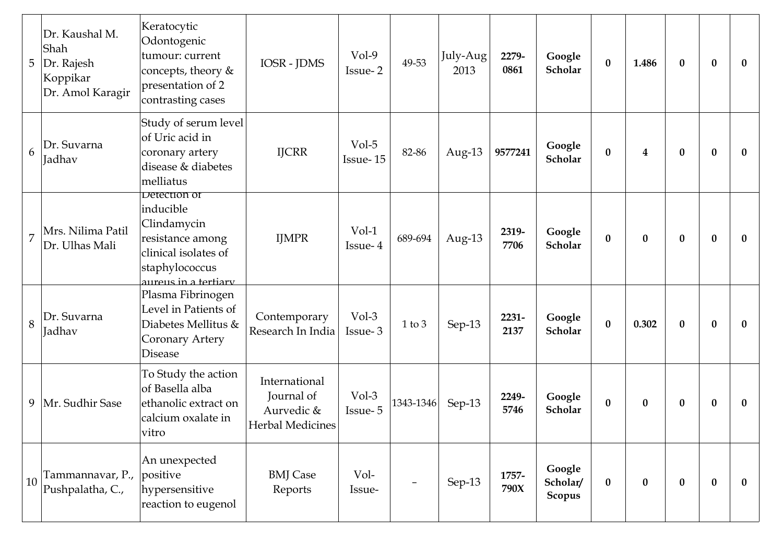| 5              | Dr. Kaushal M.<br>Shah<br>Dr. Rajesh<br>Koppikar<br>Dr. Amol Karagir | Keratocytic<br>Odontogenic<br>tumour: current<br>concepts, theory &<br>presentation of 2<br>contrasting cases                         | <b>IOSR</b> - <b>JDMS</b>                                     | $Vol-9$<br>Issue-2 | 49-53      | July-Aug<br>2013 | 2279-<br>0861 | Google<br>Scholar            | $\bf{0}$ | 1.486                   | $\mathbf{0}$ | $\boldsymbol{0}$ | $\bf{0}$     |
|----------------|----------------------------------------------------------------------|---------------------------------------------------------------------------------------------------------------------------------------|---------------------------------------------------------------|--------------------|------------|------------------|---------------|------------------------------|----------|-------------------------|--------------|------------------|--------------|
| 6              | Dr. Suvarna<br>Jadhav                                                | Study of serum level<br>of Uric acid in<br>coronary artery<br>disease & diabetes<br>melliatus                                         | <b>IJCRR</b>                                                  | Vol-5<br>Issue-15  | 82-86      | Aug-13           | 9577241       | Google<br>Scholar            | $\bf{0}$ | $\overline{\mathbf{4}}$ | $\bf{0}$     | $\boldsymbol{0}$ | $\bf{0}$     |
| $\overline{7}$ | Mrs. Nilima Patil<br>Dr. Ulhas Mali                                  | Detection of<br>inducible<br>Clindamycin<br>resistance among<br>clinical isolates of<br>staphylococcus<br><u>aureus in a tertiary</u> | <b>IJMPR</b>                                                  | $Vol-1$<br>Issue-4 | 689-694    | Aug- $13$        | 2319-<br>7706 | Google<br>Scholar            | $\bf{0}$ | $\bf{0}$                | $\bf{0}$     | $\boldsymbol{0}$ | $\mathbf{0}$ |
| 8              | Dr. Suvarna<br><b>Jadhav</b>                                         | Plasma Fibrinogen<br>Level in Patients of<br>Diabetes Mellitus &<br>Coronary Artery<br><b>Disease</b>                                 | Contemporary<br>Research In India                             | Vol-3<br>Issue-3   | $1$ to $3$ | Sep-13           | 2231-<br>2137 | Google<br>Scholar            | $\bf{0}$ | 0.302                   | $\mathbf{0}$ | $\bf{0}$         | $\bf{0}$     |
| 9              | Mr. Sudhir Sase                                                      | To Study the action<br>of Basella alba<br>ethanolic extract on<br>calcium oxalate in<br>vitro                                         | International<br>Journal of<br>Aurvedic &<br>Herbal Medicines | Vol-3<br>Issue-5   | 1343-1346  | Sep-13           | 2249-<br>5746 | Google<br>Scholar            | $\bf{0}$ | $\bf{0}$                | $\bf{0}$     | $\boldsymbol{0}$ | $\bf{0}$     |
| 10             | Tammannavar, P.,<br>Pushpalatha, C.,                                 | An unexpected<br>positive<br>hypersensitive<br>reaction to eugenol                                                                    | <b>BMJ</b> Case<br>Reports                                    | Vol-<br>Issue-     |            | Sep-13           | 1757-<br>790X | Google<br>Scholar/<br>Scopus | $\bf{0}$ | $\bf{0}$                | $\bf{0}$     | $\boldsymbol{0}$ | $\bf{0}$     |